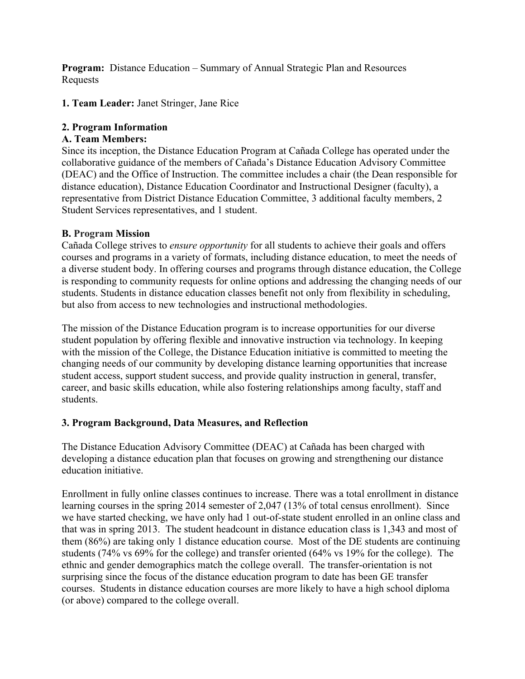**Program:** Distance Education – Summary of Annual Strategic Plan and Resources Requests

**1. Team Leader:** Janet Stringer, Jane Rice

### **2. Program Information**

### **A. Team Members:**

Since its inception, the Distance Education Program at Cañada College has operated under the collaborative guidance of the members of Cañada's Distance Education Advisory Committee (DEAC) and the Office of Instruction. The committee includes a chair (the Dean responsible for distance education), Distance Education Coordinator and Instructional Designer (faculty), a representative from District Distance Education Committee, 3 additional faculty members, 2 Student Services representatives, and 1 student.

### **B. Program Mission**

Cañada College strives to *ensure opportunity* for all students to achieve their goals and offers courses and programs in a variety of formats, including distance education, to meet the needs of a diverse student body. In offering courses and programs through distance education, the College is responding to community requests for online options and addressing the changing needs of our students. Students in distance education classes benefit not only from flexibility in scheduling, but also from access to new technologies and instructional methodologies.

The mission of the Distance Education program is to increase opportunities for our diverse student population by offering flexible and innovative instruction via technology. In keeping with the mission of the College, the Distance Education initiative is committed to meeting the changing needs of our community by developing distance learning opportunities that increase student access, support student success, and provide quality instruction in general, transfer, career, and basic skills education, while also fostering relationships among faculty, staff and students.

### **3. Program Background, Data Measures, and Reflection**

The Distance Education Advisory Committee (DEAC) at Cañada has been charged with developing a distance education plan that focuses on growing and strengthening our distance education initiative.

Enrollment in fully online classes continues to increase. There was a total enrollment in distance learning courses in the spring 2014 semester of 2,047 (13% of total census enrollment). Since we have started checking, we have only had 1 out-of-state student enrolled in an online class and that was in spring 2013. The student headcount in distance education class is 1,343 and most of them (86%) are taking only 1 distance education course. Most of the DE students are continuing students (74% vs 69% for the college) and transfer oriented (64% vs 19% for the college). The ethnic and gender demographics match the college overall. The transfer-orientation is not surprising since the focus of the distance education program to date has been GE transfer courses. Students in distance education courses are more likely to have a high school diploma (or above) compared to the college overall.